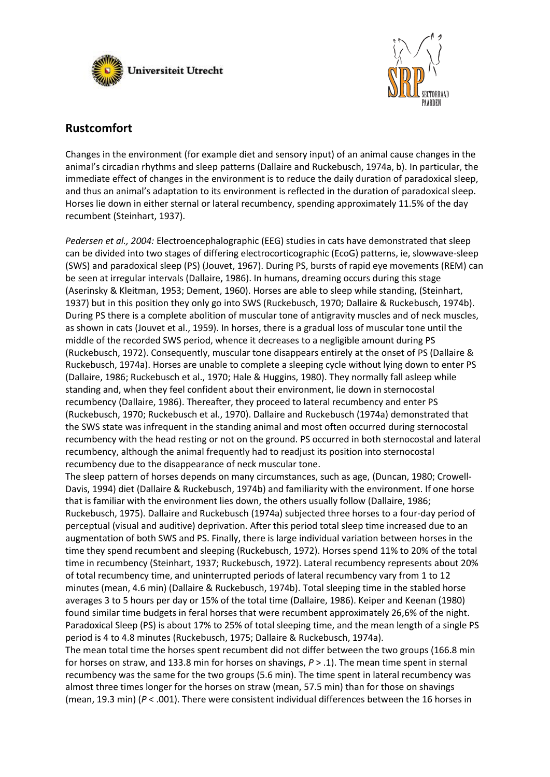



# **Rustcomfort**

Changes in the environment (for example diet and sensory input) of an animal cause changes in the animal's circadian rhythms and sleep patterns (Dallaire and Ruckebusch, 1974a, b). In particular, the immediate effect of changes in the environment is to reduce the daily duration of paradoxical sleep, and thus an animal's adaptation to its environment is reflected in the duration of paradoxical sleep. Horses lie down in either sternal or lateral recumbency, spending approximately 11.5% of the day recumbent (Steinhart, 1937).

*Pedersen et al., 2004:* Electroencephalographic (EEG) studies in cats have demonstrated that sleep can be divided into two stages of differing electrocorticographic (EcoG) patterns, ie, slowwave-sleep (SWS) and paradoxical sleep (PS) (Jouvet, 1967). During PS, bursts of rapid eye movements (REM) can be seen at irregular intervals (Dallaire, 1986). In humans, dreaming occurs during this stage (Aserinsky & Kleitman, 1953; Dement, 1960). Horses are able to sleep while standing, (Steinhart, 1937) but in this position they only go into SWS (Ruckebusch, 1970; Dallaire & Ruckebusch, 1974b). During PS there is a complete abolition of muscular tone of antigravity muscles and of neck muscles, as shown in cats (Jouvet et al., 1959). In horses, there is a gradual loss of muscular tone until the middle of the recorded SWS period, whence it decreases to a negligible amount during PS (Ruckebusch, 1972). Consequently, muscular tone disappears entirely at the onset of PS (Dallaire & Ruckebusch, 1974a). Horses are unable to complete a sleeping cycle without lying down to enter PS (Dallaire, 1986; Ruckebusch et al., 1970; Hale & Huggins, 1980). They normally fall asleep while standing and, when they feel confident about their environment, lie down in sternocostal recumbency (Dallaire, 1986). Thereafter, they proceed to lateral recumbency and enter PS (Ruckebusch, 1970; Ruckebusch et al., 1970). Dallaire and Ruckebusch (1974a) demonstrated that the SWS state was infrequent in the standing animal and most often occurred during sternocostal recumbency with the head resting or not on the ground. PS occurred in both sternocostal and lateral recumbency, although the animal frequently had to readjust its position into sternocostal recumbency due to the disappearance of neck muscular tone.

The sleep pattern of horses depends on many circumstances, such as age, (Duncan, 1980; Crowell-Davis, 1994) diet (Dallaire & Ruckebusch, 1974b) and familiarity with the environment. If one horse that is familiar with the environment lies down, the others usually follow (Dallaire, 1986; Ruckebusch, 1975). Dallaire and Ruckebusch (1974a) subjected three horses to a four-day period of perceptual (visual and auditive) deprivation. After this period total sleep time increased due to an augmentation of both SWS and PS. Finally, there is large individual variation between horses in the time they spend recumbent and sleeping (Ruckebusch, 1972). Horses spend 11% to 20% of the total time in recumbency (Steinhart, 1937; Ruckebusch, 1972). Lateral recumbency represents about 20% of total recumbency time, and uninterrupted periods of lateral recumbency vary from 1 to 12 minutes (mean, 4.6 min) (Dallaire & Ruckebusch, 1974b). Total sleeping time in the stabled horse averages 3 to 5 hours per day or 15% of the total time (Dallaire, 1986). Keiper and Keenan (1980) found similar time budgets in feral horses that were recumbent approximately 26,6% of the night. Paradoxical Sleep (PS) is about 17% to 25% of total sleeping time, and the mean length of a single PS period is 4 to 4.8 minutes (Ruckebusch, 1975; Dallaire & Ruckebusch, 1974a).

The mean total time the horses spent recumbent did not differ between the two groups (166.8 min for horses on straw, and 133.8 min for horses on shavings, *P* > .1). The mean time spent in sternal recumbency was the same for the two groups (5.6 min). The time spent in lateral recumbency was almost three times longer for the horses on straw (mean, 57.5 min) than for those on shavings (mean, 19.3 min) (*P* < .001). There were consistent individual differences between the 16 horses in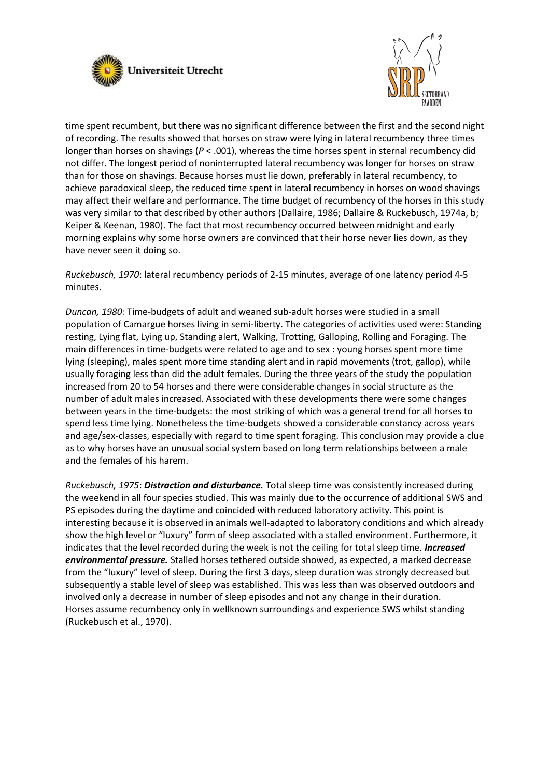



time spent recumbent, but there was no significant difference between the first and the second night of recording. The results showed that horses on straw were lying in lateral recumbency three times longer than horses on shavings ( $P < .001$ ), whereas the time horses spent in sternal recumbency did not differ. The longest period of noninterrupted lateral recumbency was longer for horses on straw than for those on shavings. Because horses must lie down, preferably in lateral recumbency, to achieve paradoxical sleep, the reduced time spent in lateral recumbency in horses on wood shavings may affect their welfare and performance. The time budget of recumbency of the horses in this study was very similar to that described by other authors (Dallaire, 1986; Dallaire & Ruckebusch, 1974a, b; Keiper & Keenan, 1980). The fact that most recumbency occurred between midnight and early morning explains why some horse owners are convinced that their horse never lies down, as they have never seen it doing so.

*Ruckebusch, 1970*: lateral recumbency periods of 2-15 minutes, average of one latency period 4-5 minutes.

*Duncan, 1980:* Time-budgets of adult and weaned sub-adult horses were studied in a small population of Camargue horses living in semi-liberty. The categories of activities used were: Standing resting, Lying flat, Lying up, Standing alert, Walking, Trotting, Galloping, Rolling and Foraging. The main differences in time-budgets were related to age and to sex : young horses spent more time lying (sleeping), males spent more time standing alert and in rapid movements (trot, gallop), while usually foraging less than did the adult females. During the three years of the study the population increased from 20 to 54 horses and there were considerable changes in social structure as the number of adult males increased. Associated with these developments there were some changes between years in the time-budgets: the most striking of which was a general trend for all horses to spend less time lying. Nonetheless the time-budgets showed a considerable constancy across years and age/sex-classes, especially with regard to time spent foraging. This conclusion may provide a clue as to why horses have an unusual social system based on long term relationships between a male and the females of his harem.

*Ruckebusch, 1975*: *Distraction and disturbance.* Total sleep time was consistently increased during the weekend in all four species studied. This was mainly due to the occurrence of additional SWS and PS episodes during the daytime and coincided with reduced laboratory activity. This point is interesting because it is observed in animals well-adapted to laboratory conditions and which already show the high level or "luxury" form of sleep associated with a stalled environment. Furthermore, it indicates that the level recorded during the week is not the ceiling for total sleep time. *Increased environmental pressure.* Stalled horses tethered outside showed, as expected, a marked decrease from the "luxury" level of sleep. During the first 3 days, sleep duration was strongly decreased but subsequently a stable level of sleep was established. This was less than was observed outdoors and involved only a decrease in number of sleep episodes and not any change in their duration. Horses assume recumbency only in wellknown surroundings and experience SWS whilst standing (Ruckebusch et al., 1970).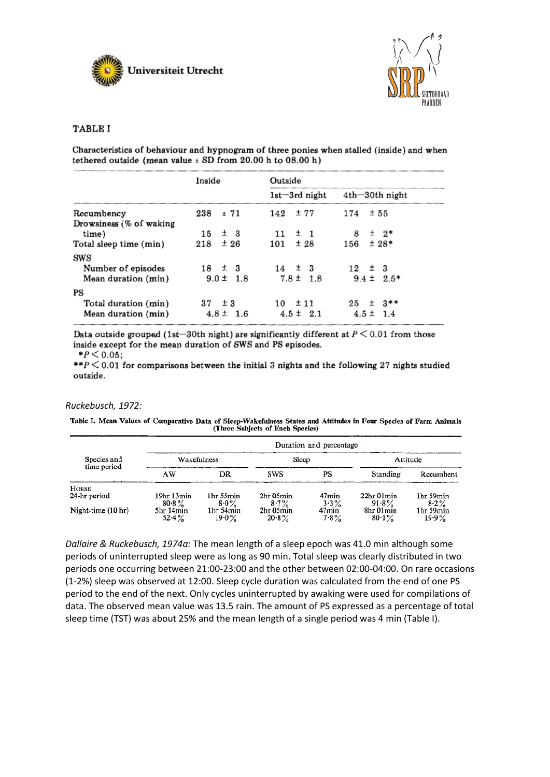



## **TABLE I**

Characteristics of behaviour and hypnogram of three ponies when stalled (inside) and when tethered outside (mean value  $\pm$  SD from 20.00 h to 08.00 h)

|                         | Inside        | Outside           |                   |  |
|-------------------------|---------------|-------------------|-------------------|--|
|                         |               | $1st - 3rd$ night | $4th-30th$ night  |  |
| Recumbency              | 238<br>± 71   | ±77<br>142        | ±55<br>174        |  |
| Drowsiness (% of waking |               |                   |                   |  |
| time)                   | $±$ 3<br>15   | ±1<br>11          | 土 2*<br>8         |  |
| Total sleep time (min)  | ±26<br>218    | ±28<br>101        | $±28*$<br>156     |  |
| SWS                     |               |                   |                   |  |
| Number of episodes      | $18 \pm 3$    | $14 \pm 3$        | $12 \pm 3$        |  |
| Mean duration (min)     | $9.0 \pm 1.8$ | $7.8 \pm 1.8$     | $9.4 \pm 2.5*$    |  |
| PS                      |               |                   |                   |  |
| Total duration (min)    | $37 \pm 3$    | $10 \pm 11$       | $25 \pm 3**$      |  |
| Mean duration (min)     | $4.8 \pm 1.6$ | $4.5 \pm 2.1$     | $4.5 \pm$<br>-1.4 |  |

Data outside grouped (1st-30th night) are significantly different at  $P \le 0.01$  from those inside except for the mean duration of SWS and PS episodes.

 $*P < 0.05;$ 

\*\* $P \le 0.01$  for comparisons between the initial 3 nights and the following 27 nights studied outside.

#### *Ruckebusch, 1972:*

Table I. Mean Values of Comparative Data of Sleep-Wakefulness States and Attitudes in Four Species of Farm Animals (Three Subjects of Each Species)

| Species and<br>time period | Duration and percentage |                       |                       |                    |                        |                       |  |  |
|----------------------------|-------------------------|-----------------------|-----------------------|--------------------|------------------------|-----------------------|--|--|
|                            | Wakefulness             |                       | Sleep                 |                    | Attitude               |                       |  |  |
|                            | AW                      | DR                    | SWS                   | PS                 | Standing               | Recumbent             |  |  |
| HORSE                      |                         |                       |                       |                    |                        |                       |  |  |
| 24-hr period               | 19hr 13min<br>$80.8\%$  | 1hr 55min<br>$8.0\%$  | 2hr 05min<br>$8.7\%$  | 47min<br>$3.3\%$   | 22hr 01min<br>$91.8\%$ | 1hr 59min<br>$8-2%$   |  |  |
| Night-time (10 hr)         | 5hr 14min<br>$52.4\%$   | Ihr 54min<br>$19.0\%$ | 2hr 05min<br>$20.8\%$ | 47min<br>$7 - 8\%$ | 8hr 01min<br>$80.1\%$  | 1hr 59min<br>$19.9\%$ |  |  |

*Dallaire & Ruckebusch, 1974a:* The mean length of a sleep epoch was 41.0 min although some periods of uninterrupted sleep were as long as 90 min. Total sleep was clearly distributed in two periods one occurring between 21:00-23:00 and the other between 02:00-04:00. On rare occasions (1-2%) sleep was observed at 12:00. Sleep cycle duration was calculated from the end of one PS period to the end of the next. Only cycles uninterrupted by awaking were used for compilations of data. The observed mean value was 13.5 rain. The amount of PS expressed as a percentage of total sleep time (TST) was about 25% and the mean length of a single period was 4 min (Table I).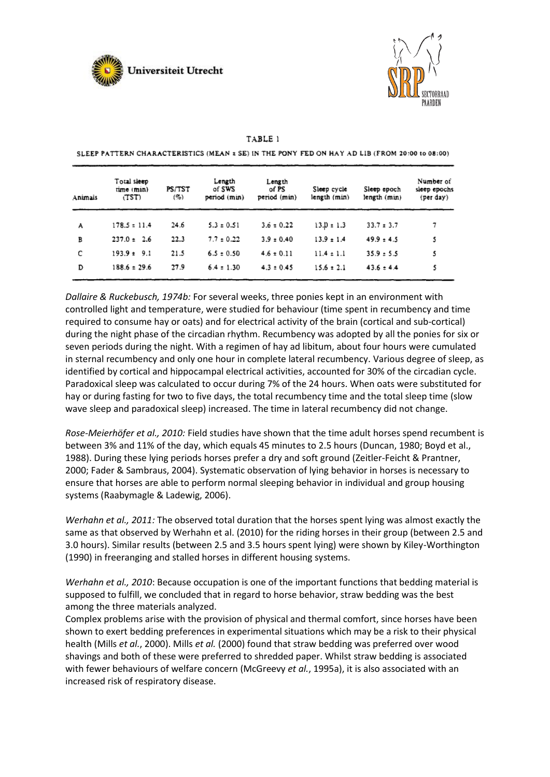



| Animals | Total sleep<br>time (min)<br>(TST) | PS/TST<br>(%) | Length<br>of SWS<br>period (min) | Length<br>of PS<br>period (min) | Sleep cycle<br>length (min) | Sleep epoch<br>length (min) | Number of<br>sleep epochs<br>(per day) |
|---------|------------------------------------|---------------|----------------------------------|---------------------------------|-----------------------------|-----------------------------|----------------------------------------|
| A       | $178.5 \pm 11.4$                   | 24.6          | $5.3 \pm 0.51$                   | $3.6 \pm 0.22$                  | $13.0 \pm 1.3$              | $33.7 \pm 3.7$              | 7                                      |
| в       | $237.0 \pm 2.6$                    | 22.3          | $7.7 \pm 0.22$                   | $3.9 \pm 0.40$                  | $13.9 \pm 1.4$              | $49.9 \pm 4.5$              | 5                                      |
| c       | $193.9 \pm 9.1$                    | 21.5          | $6.5 \pm 0.50$                   | $4.6 \pm 0.11$                  | $11.4 \pm 1.1$              | $35.9 \pm 5.5$              | 5                                      |
| D       | $188.6 \pm 29.6$                   | 27.9          | $6.4 \pm 1.30$                   | $4.3 \pm 0.45$                  | $15.6 \pm 2.1$              | $43.6 \pm 4.4$              | 5                                      |

SLEEP PATTERN CHARACTERISTICS (MEAN ± SE) IN THE PONY FED ON HAY AD LIB (FROM 20:00 to 08:00)

TABLE 1

*Dallaire & Ruckebusch, 1974b:* For several weeks, three ponies kept in an environment with controlled light and temperature, were studied for behaviour (time spent in recumbency and time required to consume hay or oats) and for electrical activity of the brain (cortical and sub-cortical) during the night phase of the circadian rhythm. Recumbency was adopted by all the ponies for six or seven periods during the night. With a regimen of hay ad libitum, about four hours were cumulated in sternal recumbency and only one hour in complete lateral recumbency. Various degree of sleep, as identified by cortical and hippocampal electrical activities, accounted for 30% of the circadian cycle. Paradoxical sleep was calculated to occur during 7% of the 24 hours. When oats were substituted for hay or during fasting for two to five days, the total recumbency time and the total sleep time (slow wave sleep and paradoxical sleep) increased. The time in lateral recumbency did not change.

*Rose-Meierhöfer et al., 2010:* Field studies have shown that the time adult horses spend recumbent is between 3% and 11% of the day, which equals 45 minutes to 2.5 hours (Duncan, 1980; Boyd et al., 1988). During these lying periods horses prefer a dry and soft ground (Zeitler-Feicht & Prantner, 2000; Fader & Sambraus, 2004). Systematic observation of lying behavior in horses is necessary to ensure that horses are able to perform normal sleeping behavior in individual and group housing systems (Raabymagle & Ladewig, 2006).

*Werhahn et al., 2011:* The observed total duration that the horses spent lying was almost exactly the same as that observed by Werhahn et al. (2010) for the riding horses in their group (between 2.5 and 3.0 hours). Similar results (between 2.5 and 3.5 hours spent lying) were shown by Kiley-Worthington (1990) in freeranging and stalled horses in different housing systems.

*Werhahn et al., 2010*: Because occupation is one of the important functions that bedding material is supposed to fulfill, we concluded that in regard to horse behavior, straw bedding was the best among the three materials analyzed.

Complex problems arise with the provision of physical and thermal comfort, since horses have been shown to exert bedding preferences in experimental situations which may be a risk to their physical health (Mills *et al.*, 2000). Mills *et al.* (2000) found that straw bedding was preferred over wood shavings and both of these were preferred to shredded paper. Whilst straw bedding is associated with fewer behaviours of welfare concern (McGreevy *et al.*, 1995a), it is also associated with an increased risk of respiratory disease.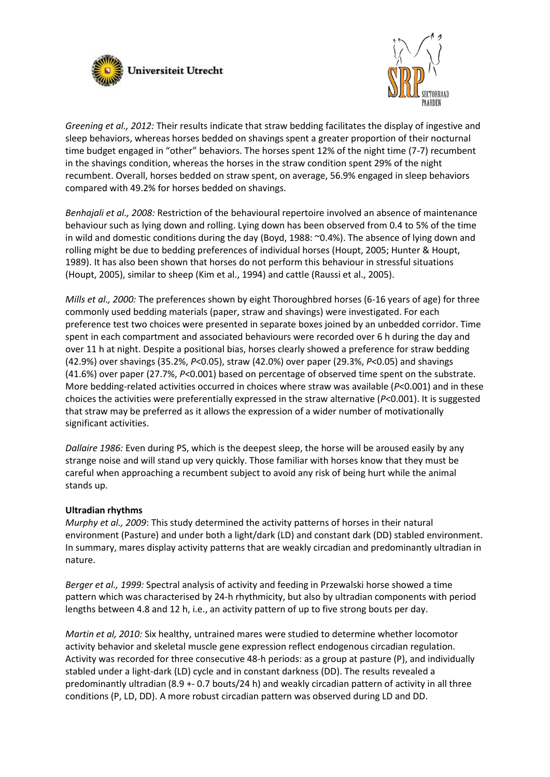



*Greening et al., 2012:* Their results indicate that straw bedding facilitates the display of ingestive and sleep behaviors, whereas horses bedded on shavings spent a greater proportion of their nocturnal time budget engaged in "other" behaviors. The horses spent 12% of the night time (7-7) recumbent in the shavings condition, whereas the horses in the straw condition spent 29% of the night recumbent. Overall, horses bedded on straw spent, on average, 56.9% engaged in sleep behaviors compared with 49.2% for horses bedded on shavings.

*Benhajali et al., 2008:* Restriction of the behavioural repertoire involved an absence of maintenance behaviour such as lying down and rolling. Lying down has been observed from 0.4 to 5% of the time in wild and domestic conditions during the day (Boyd, 1988: ~0.4%). The absence of lying down and rolling might be due to bedding preferences of individual horses (Houpt, 2005; Hunter & Houpt, 1989). It has also been shown that horses do not perform this behaviour in stressful situations (Houpt, 2005), similar to sheep (Kim et al., 1994) and cattle (Raussi et al., 2005).

*Mills et al., 2000:* The preferences shown by eight Thoroughbred horses (6-16 years of age) for three commonly used bedding materials (paper, straw and shavings) were investigated. For each preference test two choices were presented in separate boxes joined by an unbedded corridor. Time spent in each compartment and associated behaviours were recorded over 6 h during the day and over 11 h at night. Despite a positional bias, horses clearly showed a preference for straw bedding (42.9%) over shavings (35.2%, *P*<0.05), straw (42.0%) over paper (29.3%, *P*<0.05) and shavings (41.6%) over paper (27.7%, *P*<0.001) based on percentage of observed time spent on the substrate. More bedding-related activities occurred in choices where straw was available (*P*<0.001) and in these choices the activities were preferentially expressed in the straw alternative (*P*<0.001). It is suggested that straw may be preferred as it allows the expression of a wider number of motivationally significant activities.

*Dallaire 1986:* Even during PS, which is the deepest sleep, the horse will be aroused easily by any strange noise and will stand up very quickly. Those familiar with horses know that they must be careful when approaching a recumbent subject to avoid any risk of being hurt while the animal stands up.

### **Ultradian rhythms**

*Murphy et al., 2009*: This study determined the activity patterns of horses in their natural environment (Pasture) and under both a light/dark (LD) and constant dark (DD) stabled environment. In summary, mares display activity patterns that are weakly circadian and predominantly ultradian in nature.

*Berger et al., 1999:* Spectral analysis of activity and feeding in Przewalski horse showed a time pattern which was characterised by 24-h rhythmicity, but also by ultradian components with period lengths between 4.8 and 12 h, i.e., an activity pattern of up to five strong bouts per day.

*Martin et al, 2010:* Six healthy, untrained mares were studied to determine whether locomotor activity behavior and skeletal muscle gene expression reflect endogenous circadian regulation. Activity was recorded for three consecutive 48-h periods: as a group at pasture (P), and individually stabled under a light-dark (LD) cycle and in constant darkness (DD). The results revealed a predominantly ultradian (8.9 +- 0.7 bouts/24 h) and weakly circadian pattern of activity in all three conditions (P, LD, DD). A more robust circadian pattern was observed during LD and DD.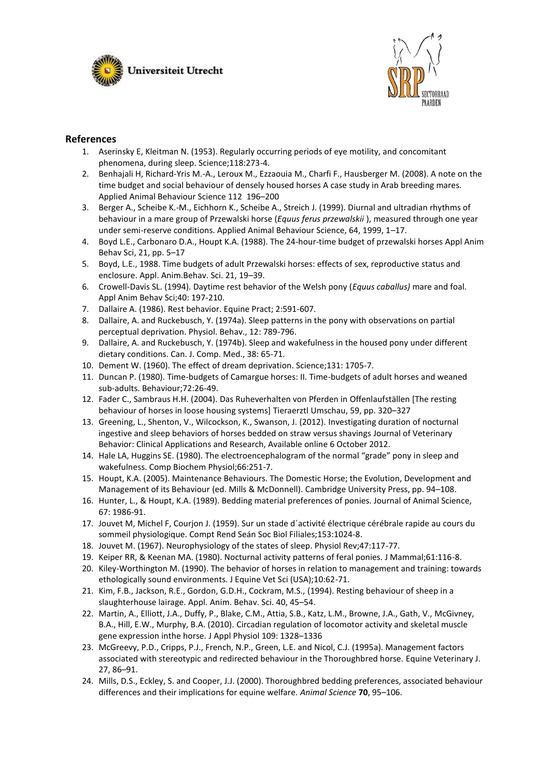



## **References**

- 1. Aserinsky E, Kleitman N. (1953). Regularly occurring periods of eye motility, and concomitant phenomena, during sleep. Science;118:273-4.
- 2. Benhajali H, Richard-Yris M.-A., Leroux M., Ezzaouia M., Charfi F., Hausberger M. (2008). A note on the time budget and social behaviour of densely housed horses A case study in Arab breeding mares. Applied Animal Behaviour Science 112 196–200
- 3. Berger A., Scheibe K.-M., Eichhorn K., Scheibe A., Streich J. (1999). Diurnal and ultradian rhythms of behaviour in a mare group of Przewalski horse (*Equus ferus przewalskii* ), measured through one year under semi-reserve conditions. Applied Animal Behaviour Science, 64, 1999, 1–17.
- 4. Boyd L.E., Carbonaro D.A., Houpt K.A. (1988). The 24-hour-time budget of przewalski horses Appl Anim Behav Sci, 21, pp. 5–17
- 5. Boyd, L.E., 1988. Time budgets of adult Przewalski horses: effects of sex, reproductive status and enclosure. Appl. Anim.Behav. Sci. 21, 19–39.
- 6. Crowell-Davis SL. (1994). Daytime rest behavior of the Welsh pony (*Equus caballus)* mare and foal. Appl Anim Behav Sci;40: 197-210.
- 7. Dallaire A. (1986). Rest behavior. Equine Pract; 2:591-607.
- 8. Dallaire, A. and Ruckebusch, Y. (1974a). Sleep patterns in the pony with observations on partial perceptual deprivation. Physiol. Behav., 12: 789-796.
- 9. Dallaire, A. and Ruckebusch, Y. (1974b). Sleep and wakefulness in the housed pony under different dietary conditions. Can. J. Comp. Med., 38: 65-71.
- 10. Dement W. (1960). The effect of dream deprivation. Science;131: 1705-7.
- 11. Duncan P. (1980). Time-budgets of Camargue horses: II. Time-budgets of adult horses and weaned sub-adults. Behaviour;72:26-49.
- 12. Fader C., Sambraus H.H. (2004). Das Ruheverhalten von Pferden in Offenlaufställen [The resting behaviour of horses in loose housing systems] Tieraerztl Umschau, 59, pp. 320–327
- 13. Greening, L., Shenton, V., Wilcockson, K., Swanson, J. (2012). Investigating duration of nocturnal ingestive and sleep behaviors of horses bedded on straw versus shavings Journal of Veterinary Behavior: Clinical Applications and Research, Available online 6 October 2012.
- 14. Hale LA, Huggins SE. (1980). The electroencephalogram of the normal "grade" pony in sleep and wakefulness. Comp Biochem Physiol;66:251-7.
- 15. Houpt, K.A. (2005). Maintenance Behaviours. The Domestic Horse; the Evolution, Development and Management of its Behaviour (ed. Mills & McDonnell). Cambridge University Press, pp. 94–108.
- 16. Hunter, L., & Houpt, K.A. (1989). Bedding material preferences of ponies. Journal of Animal Science, 67: 1986-91.
- 17. Jouvet M, Michel F, Courjon J. (1959). Sur un stade d´activité électrique cérébrale rapide au cours du sommeil physiologique. Compt Rend Seán Soc Biol Filiales;153:1024-8.
- 18. Jouvet M. (1967). Neurophysiology of the states of sleep. Physiol Rev;47:117-77.
- 19. Keiper RR, & Keenan MA. (1980). Nocturnal activity patterns of feral ponies. J Mammal;61:116-8.
- 20. Kiley-Worthington M. (1990). The behavior of horses in relation to management and training: towards ethologically sound environments. J Equine Vet Sci (USA);10:62-71.
- 21. Kim, F.B., Jackson, R.E., Gordon, G.D.H., Cockram, M.S., (1994). Resting behaviour of sheep in a slaughterhouse lairage. Appl. Anim. Behav. Sci. 40, 45–54.
- 22. Martin, A., Elliott, J.A., Duffy, P., Blake, C.M., Attia, S.B., Katz, L.M., Browne, J.A., Gath, V., McGivney, B.A., Hill, E.W., Murphy, B.A. (2010). Circadian regulation of locomotor activity and skeletal muscle gene expression inthe horse. J Appl Physiol 109: 1328–1336
- 23. McGreevy, P.D., Cripps, P.J., French, N.P., Green, L.E. and Nicol, C.J. (1995a). Management factors associated with stereotypic and redirected behaviour in the Thoroughbred horse. Equine Veterinary J. 27, 86–91.
- 24. Mills, D.S., Eckley, S. and Cooper, J.J. (2000). Thoroughbred bedding preferences, associated behaviour differences and their implications for equine welfare. *Animal Science* **70**, 95–106.